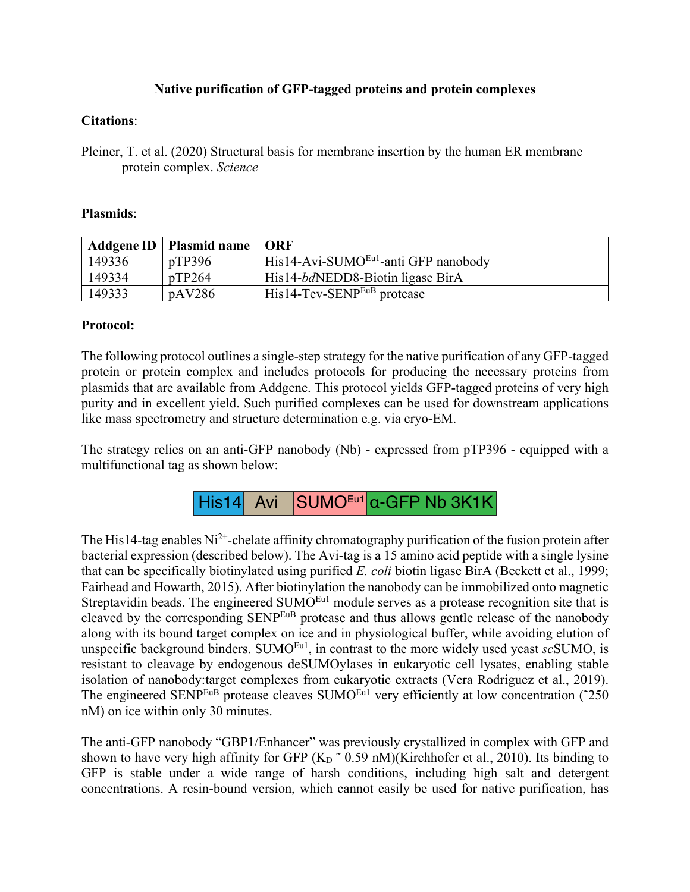# **Native purification of GFP-tagged proteins and protein complexes**

### **Citations**:

Pleiner, T. et al. (2020) Structural basis for membrane insertion by the human ER membrane protein complex. *Science*

#### **Plasmids**:

|        | Addgene ID   Plasmid name | $\overline{\phantom{a}}$ ORF                     |
|--------|---------------------------|--------------------------------------------------|
| 149336 | pTP396                    | His14-Avi-SUMO <sup>Eu1</sup> -anti GFP nanobody |
| 149334 | pTP264                    | His14-bdNEDD8-Biotin ligase BirA                 |
| 149333 | pAV286                    | $His14$ -Tev-SENP <sup>EuB</sup> protease        |

#### **Protocol:**

The following protocol outlines a single-step strategy for the native purification of any GFP-tagged protein or protein complex and includes protocols for producing the necessary proteins from plasmids that are available from Addgene. This protocol yields GFP-tagged proteins of very high purity and in excellent yield. Such purified complexes can be used for downstream applications like mass spectrometry and structure determination e.g. via cryo-EM.

The strategy relies on an anti-GFP nanobody (Nb) - expressed from pTP396 - equipped with a multifunctional tag as shown below:



The His14-tag enables  $Ni^{2+}$ -chelate affinity chromatography purification of the fusion protein after bacterial expression (described below). The Avi-tag is a 15 amino acid peptide with a single lysine that can be specifically biotinylated using purified *E. coli* biotin ligase BirA (Beckett et al., 1999; Fairhead and Howarth, 2015). After biotinylation the nanobody can be immobilized onto magnetic Streptavidin beads. The engineered SUMO<sup>Eu1</sup> module serves as a protease recognition site that is cleaved by the corresponding SENPEuB protease and thus allows gentle release of the nanobody along with its bound target complex on ice and in physiological buffer, while avoiding elution of unspecific background binders. SUMO<sup>Eu1</sup>, in contrast to the more widely used yeast *sc*SUMO, is resistant to cleavage by endogenous deSUMOylases in eukaryotic cell lysates, enabling stable isolation of nanobody:target complexes from eukaryotic extracts (Vera Rodriguez et al., 2019). The engineered SENP<sup>EuB</sup> protease cleaves SUMO<sup>Eu1</sup> very efficiently at low concentration (~250) nM) on ice within only 30 minutes.

The anti-GFP nanobody "GBP1/Enhancer" was previously crystallized in complex with GFP and shown to have very high affinity for GFP  $(K_D \, \tilde{\,} 0.59 \, \text{nM})$ (Kirchhofer et al., 2010). Its binding to GFP is stable under a wide range of harsh conditions, including high salt and detergent concentrations. A resin-bound version, which cannot easily be used for native purification, has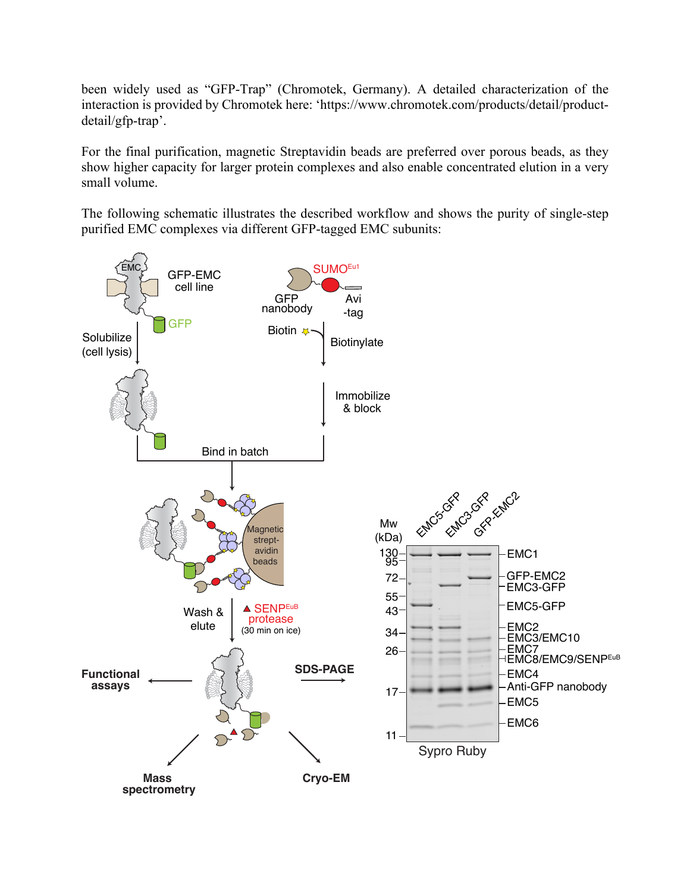been widely used as "GFP-Trap" (Chromotek, Germany). A detailed characterization of the interaction is provided by Chromotek here: 'https://www.chromotek.com/products/detail/productdetail/gfp-trap'.

For the final purification, magnetic Streptavidin beads are preferred over porous beads, as they show higher capacity for larger protein complexes and also enable concentrated elution in a very small volume.

The following schematic illustrates the described workflow and shows the purity of single-step purified EMC complexes via different GFP-tagged EMC subunits:

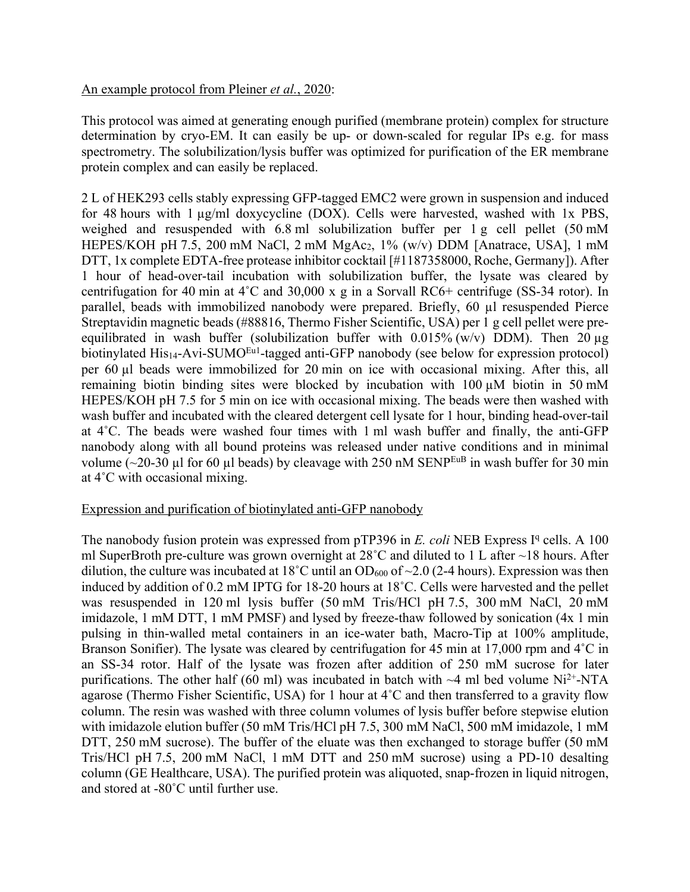## An example protocol from Pleiner *et al.*, 2020:

This protocol was aimed at generating enough purified (membrane protein) complex for structure determination by cryo-EM. It can easily be up- or down-scaled for regular IPs e.g. for mass spectrometry. The solubilization/lysis buffer was optimized for purification of the ER membrane protein complex and can easily be replaced.

2 L of HEK293 cells stably expressing GFP-tagged EMC2 were grown in suspension and induced for 48 hours with 1 µg/ml doxycycline (DOX). Cells were harvested, washed with 1x PBS, weighed and resuspended with 6.8 ml solubilization buffer per 1 g cell pellet (50 mM HEPES/KOH pH 7.5, 200 mM NaCl, 2 mM MgAc<sub>2</sub>, 1% (w/v) DDM [Anatrace, USA], 1 mM DTT, 1x complete EDTA-free protease inhibitor cocktail [#1187358000, Roche, Germany]). After 1 hour of head-over-tail incubation with solubilization buffer, the lysate was cleared by centrifugation for 40 min at 4˚C and 30,000 x g in a Sorvall RC6+ centrifuge (SS-34 rotor). In parallel, beads with immobilized nanobody were prepared. Briefly, 60 µl resuspended Pierce Streptavidin magnetic beads (#88816, Thermo Fisher Scientific, USA) per 1 g cell pellet were preequilibrated in wash buffer (solubilization buffer with  $0.015\%$  (w/v) DDM). Then 20  $\mu$ g biotinylated His<sub>14</sub>-Avi-SUMO<sup>Eu1</sup>-tagged anti-GFP nanobody (see below for expression protocol) per 60 µl beads were immobilized for 20 min on ice with occasional mixing. After this, all remaining biotin binding sites were blocked by incubation with 100 µM biotin in 50 mM HEPES/KOH pH 7.5 for 5 min on ice with occasional mixing. The beads were then washed with wash buffer and incubated with the cleared detergent cell lysate for 1 hour, binding head-over-tail at 4˚C. The beads were washed four times with 1 ml wash buffer and finally, the anti-GFP nanobody along with all bound proteins was released under native conditions and in minimal volume  $(-20-30 \mu l \text{ for } 60 \mu l \text{ beads})$  by cleavage with 250 nM SENP<sup>EuB</sup> in wash buffer for 30 min at 4˚C with occasional mixing.

#### Expression and purification of biotinylated anti-GFP nanobody

The nanobody fusion protein was expressed from  $pTP396$  in *E. coli* NEB Express I<sup>q</sup> cells. A 100 ml SuperBroth pre-culture was grown overnight at 28˚C and diluted to 1 L after ~18 hours. After dilution, the culture was incubated at 18°C until an OD<sub>600</sub> of  $\sim$ 2.0 (2-4 hours). Expression was then induced by addition of 0.2 mM IPTG for 18-20 hours at 18˚C. Cells were harvested and the pellet was resuspended in 120 ml lysis buffer (50 mM Tris/HCl pH 7.5, 300 mM NaCl, 20 mM imidazole, 1 mM DTT, 1 mM PMSF) and lysed by freeze-thaw followed by sonication (4x 1 min pulsing in thin-walled metal containers in an ice-water bath, Macro-Tip at 100% amplitude, Branson Sonifier). The lysate was cleared by centrifugation for 45 min at 17,000 rpm and 4<sup>°</sup>C in an SS-34 rotor. Half of the lysate was frozen after addition of 250 mM sucrose for later purifications. The other half (60 ml) was incubated in batch with  $\sim$ 4 ml bed volume Ni<sup>2+</sup>-NTA agarose (Thermo Fisher Scientific, USA) for 1 hour at 4˚C and then transferred to a gravity flow column. The resin was washed with three column volumes of lysis buffer before stepwise elution with imidazole elution buffer (50 mM Tris/HCl pH 7.5, 300 mM NaCl, 500 mM imidazole, 1 mM DTT, 250 mM sucrose). The buffer of the eluate was then exchanged to storage buffer (50 mM Tris/HCl pH 7.5, 200 mM NaCl, 1 mM DTT and 250 mM sucrose) using a PD-10 desalting column (GE Healthcare, USA). The purified protein was aliquoted, snap-frozen in liquid nitrogen, and stored at -80˚C until further use.